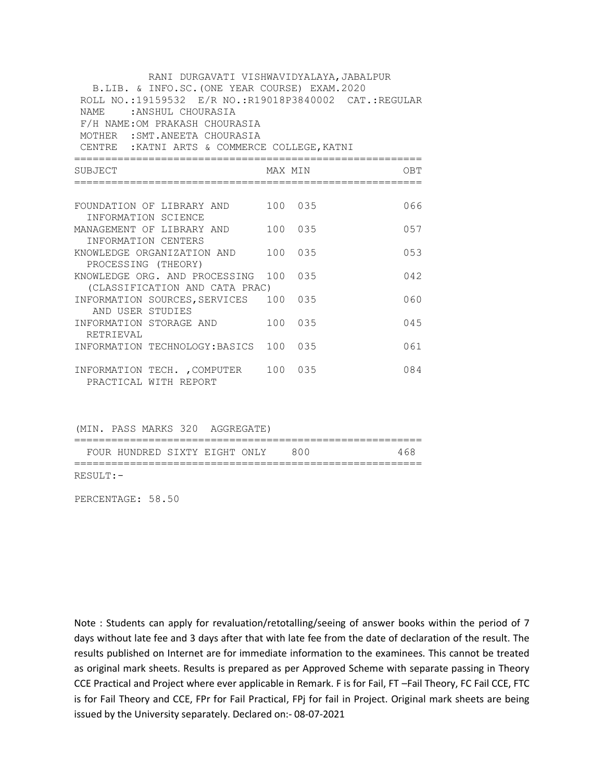| RANI DURGAVATI VISHWAVIDYALAYA, JABALPUR              |         |         |      |  |  |  |
|-------------------------------------------------------|---------|---------|------|--|--|--|
| B.LIB. & INFO.SC. (ONE YEAR COURSE) EXAM. 2020        |         |         |      |  |  |  |
| ROLL NO.:19159532 E/R NO.:R19018P3840002 CAT.:REGULAR |         |         |      |  |  |  |
| NAME : ANSHUL CHOURASIA                               |         |         |      |  |  |  |
| F/H NAME: OM PRAKASH CHOURASIA                        |         |         |      |  |  |  |
| MOTHER : SMT. ANEETA CHOURASIA                        |         |         |      |  |  |  |
| CENTRE : KATNI ARTS & COMMERCE COLLEGE, KATNI         |         |         |      |  |  |  |
| SUBJECT                                               |         | MAX MIN | OBT  |  |  |  |
|                                                       |         |         |      |  |  |  |
| FOUNDATION OF LIBRARY AND 100 035                     |         |         | 066  |  |  |  |
| INFORMATION SCIENCE                                   |         |         |      |  |  |  |
| MANAGEMENT OF LIBRARY AND 100 035                     |         |         | 0.57 |  |  |  |
| INFORMATION CENTERS                                   |         |         |      |  |  |  |
| KNOWLEDGE ORGANIZATION AND 100 035                    |         |         |      |  |  |  |
| PROCESSING (THEORY)                                   |         |         |      |  |  |  |
| KNOWLEDGE ORG. AND PROCESSING 100 035                 |         |         | 042  |  |  |  |
| (CLASSIFICATION AND CATA PRAC)                        |         |         |      |  |  |  |
| INFORMATION SOURCES, SERVICES                         | 100 035 |         | 060  |  |  |  |
| AND USER STUDIES                                      |         |         |      |  |  |  |
| INFORMATION STORAGE AND                               | 100 035 |         | 045  |  |  |  |
| RETRIEVAL                                             |         |         |      |  |  |  |
| INFORMATION TECHNOLOGY: BASICS 100 035                |         |         | 061  |  |  |  |
| INFORMATION TECH. , COMPUTER 100 035                  |         |         | 084  |  |  |  |
| PRACTICAL WITH REPORT                                 |         |         |      |  |  |  |

(MIN. PASS MARKS 320 AGGREGATE)

|             |                                   |  | _______ |     |
|-------------|-----------------------------------|--|---------|-----|
|             | FOUR HUNDRED SIXTY EIGHT ONLY 800 |  |         | 468 |
|             |                                   |  |         |     |
| $RESULT:$ - |                                   |  |         |     |

PERCENTAGE: 58.50

Note : Students can apply for revaluation/retotalling/seeing of answer books within the period of 7 days without late fee and 3 days after that with late fee from the date of declaration of the result. The results published on Internet are for immediate information to the examinees. This cannot be treated as original mark sheets. Results is prepared as per Approved Scheme with separate passing in Theory CCE Practical and Project where ever applicable in Remark. F is for Fail, FT –Fail Theory, FC Fail CCE, FTC is for Fail Theory and CCE, FPr for Fail Practical, FPj for fail in Project. Original mark sheets are being issued by the University separately. Declared on:- 08-07-2021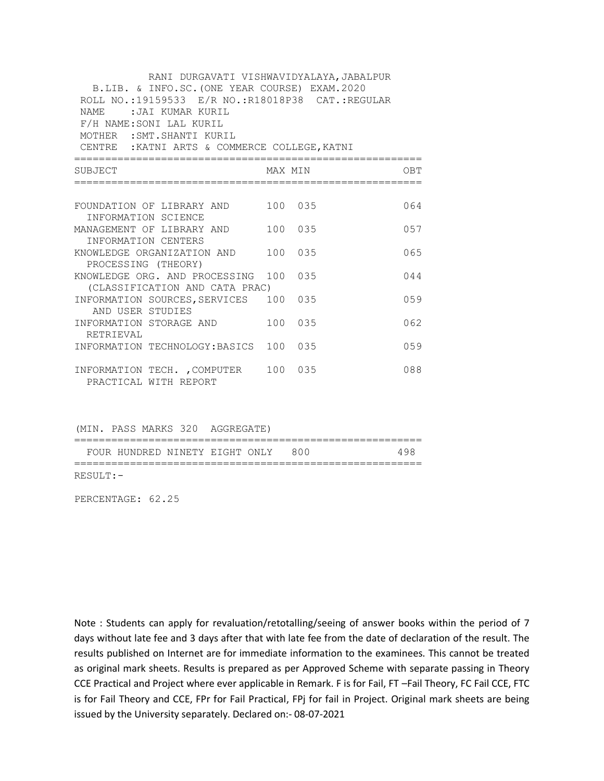| RANI DURGAVATI VISHWAVIDYALAYA, JABALPUR<br>B.LIB. & INFO.SC. (ONE YEAR COURSE) EXAM. 2020<br>ROLL NO.:19159533 E/R NO.:R18018P38 CAT.:REGULAR<br>NAME: JAI KUMAR KURIL<br>F/H NAME: SONI LAL KURIL<br>MOTHER : SMT. SHANTI KURIL<br>CENTRE : KATNI ARTS & COMMERCE COLLEGE, KATNI |         |         |      |
|------------------------------------------------------------------------------------------------------------------------------------------------------------------------------------------------------------------------------------------------------------------------------------|---------|---------|------|
| SUBJECT                                                                                                                                                                                                                                                                            |         | MAX MIN | OBT  |
|                                                                                                                                                                                                                                                                                    |         |         |      |
| FOUNDATION OF LIBRARY AND 100 035                                                                                                                                                                                                                                                  |         |         | 064  |
| INFORMATION SCIENCE                                                                                                                                                                                                                                                                |         |         |      |
| MANAGEMENT OF LIBRARY AND 100 035<br>INFORMATION CENTERS                                                                                                                                                                                                                           |         |         | 0.57 |
| KNOWLEDGE ORGANIZATION AND                                                                                                                                                                                                                                                         | 100 035 |         | 065  |
| PROCESSING (THEORY)                                                                                                                                                                                                                                                                |         |         |      |
| KNOWLEDGE ORG. AND PROCESSING 100 035                                                                                                                                                                                                                                              |         |         | 044  |
| (CLASSIFICATION AND CATA PRAC)                                                                                                                                                                                                                                                     |         |         |      |
| INFORMATION SOURCES, SERVICES 100                                                                                                                                                                                                                                                  |         | 035     | 0.59 |
| AND USER STUDIES                                                                                                                                                                                                                                                                   |         |         |      |
| INFORMATION STORAGE AND                                                                                                                                                                                                                                                            | 100 035 |         | 062  |
| RETRIEVAL                                                                                                                                                                                                                                                                          |         |         |      |
| INFORMATION TECHNOLOGY: BASICS 100 035                                                                                                                                                                                                                                             |         |         | 059  |
| INFORMATION TECH. , COMPUTER 100 035                                                                                                                                                                                                                                               |         |         | 088  |
| PRACTICAL WITH REPORT                                                                                                                                                                                                                                                              |         |         |      |

(MIN. PASS MARKS 320 AGGREGATE)

|             |                                    |  | _________________ |     |
|-------------|------------------------------------|--|-------------------|-----|
|             | FOUR HUNDRED NINETY EIGHT ONLY 800 |  |                   | 498 |
|             |                                    |  |                   |     |
| $RESULT:$ - |                                    |  |                   |     |

PERCENTAGE: 62.25

Note : Students can apply for revaluation/retotalling/seeing of answer books within the period of 7 days without late fee and 3 days after that with late fee from the date of declaration of the result. The results published on Internet are for immediate information to the examinees. This cannot be treated as original mark sheets. Results is prepared as per Approved Scheme with separate passing in Theory CCE Practical and Project where ever applicable in Remark. F is for Fail, FT –Fail Theory, FC Fail CCE, FTC is for Fail Theory and CCE, FPr for Fail Practical, FPj for fail in Project. Original mark sheets are being issued by the University separately. Declared on:- 08-07-2021